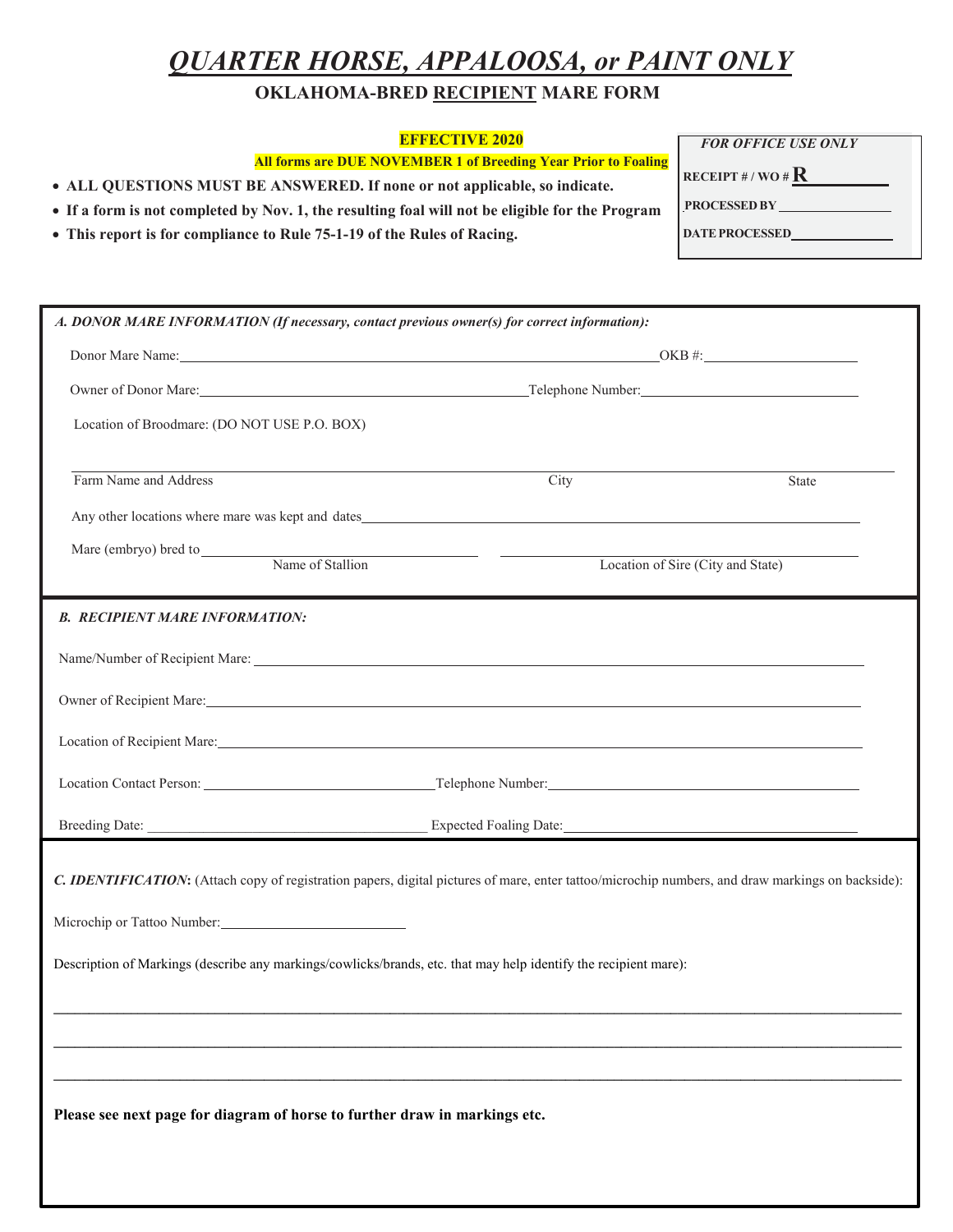## *QUARTER HORSE, APPALOOSA, or PAINT ONLY*

*FOR OFFICE USE ONLY*

**RECEIPT # / WO # R PROCESSED BY DATEPROCESSED** 

## **OKLAHOMA-BRED RECIPIENT MARE FORM**

## **EFFECTIVE 2020**

**All forms are DUE NOVEMBER 1 of Breeding Year Prior to Foaling**

• **ALL QUESTIONS MUST BE ANSWERED. If none or not applicable, so indicate.**

- **If a form is not completed by Nov. 1, the resulting foal will not be eligible for the Program**
- **This report is for compliance to Rule 75-1-19 of the Rules of Racing.**

| A. DONOR MARE INFORMATION (If necessary, contact previous owner(s) for correct information):                                                                                                                                   |                                   |       |  |  |  |  |  |
|--------------------------------------------------------------------------------------------------------------------------------------------------------------------------------------------------------------------------------|-----------------------------------|-------|--|--|--|--|--|
|                                                                                                                                                                                                                                |                                   |       |  |  |  |  |  |
|                                                                                                                                                                                                                                |                                   |       |  |  |  |  |  |
| Location of Broodmare: (DO NOT USE P.O. BOX)                                                                                                                                                                                   |                                   |       |  |  |  |  |  |
| Farm Name and Address                                                                                                                                                                                                          | City                              | State |  |  |  |  |  |
| Any other locations where mare was kept and dates experience of the state of the state of the state of the state of the state of the state of the state of the state of the state of the state of the state of the state of th |                                   |       |  |  |  |  |  |
| Mare (embryo) bred to Name of Stallion                                                                                                                                                                                         | Location of Sire (City and State) |       |  |  |  |  |  |
| <b>B. RECIPIENT MARE INFORMATION:</b>                                                                                                                                                                                          |                                   |       |  |  |  |  |  |
|                                                                                                                                                                                                                                |                                   |       |  |  |  |  |  |
| Owner of Recipient Mare:                                                                                                                                                                                                       |                                   |       |  |  |  |  |  |
| Location of Recipient Mare: New York Contract the Contract of Recipient Mare:                                                                                                                                                  |                                   |       |  |  |  |  |  |
|                                                                                                                                                                                                                                |                                   |       |  |  |  |  |  |
| Breeding Date: Expected Foaling Date: Expected Foaling Date:                                                                                                                                                                   |                                   |       |  |  |  |  |  |
| C. IDENTIFICATION: (Attach copy of registration papers, digital pictures of mare, enter tattoo/microchip numbers, and draw markings on backside):                                                                              |                                   |       |  |  |  |  |  |
|                                                                                                                                                                                                                                |                                   |       |  |  |  |  |  |
| Description of Markings (describe any markings/cowlicks/brands, etc. that may help identify the recipient mare):                                                                                                               |                                   |       |  |  |  |  |  |
|                                                                                                                                                                                                                                |                                   |       |  |  |  |  |  |
|                                                                                                                                                                                                                                |                                   |       |  |  |  |  |  |
| Please see next page for diagram of horse to further draw in markings etc.                                                                                                                                                     |                                   |       |  |  |  |  |  |